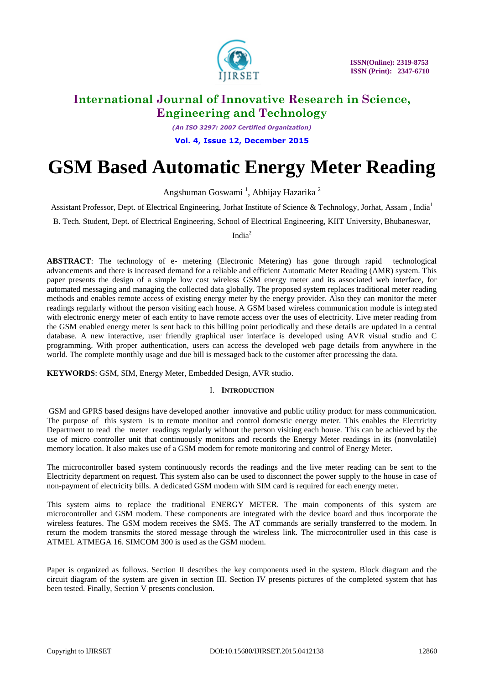

*(An ISO 3297: 2007 Certified Organization)*

**Vol. 4, Issue 12, December 2015**

# **GSM Based Automatic Energy Meter Reading**

Angshuman Goswami<sup>1</sup>, Abhijay Hazarika<sup>2</sup>

Assistant Professor, Dept. of Electrical Engineering, Jorhat Institute of Science & Technology, Jorhat, Assam , India<sup>1</sup>

B. Tech. Student, Dept. of Electrical Engineering, School of Electrical Engineering, KIIT University, Bhubaneswar,

India<sup>2</sup>

**ABSTRACT**: The technology of e- metering (Electronic Metering) has gone through rapid technological advancements and there is increased demand for a reliable and efficient Automatic Meter Reading (AMR) system. This paper presents the design of a simple low cost wireless GSM energy meter and its associated web interface, for automated messaging and managing the collected data globally. The proposed system replaces traditional meter reading methods and enables remote access of existing energy meter by the energy provider. Also they can monitor the meter readings regularly without the person visiting each house. A GSM based wireless communication module is integrated with electronic energy meter of each entity to have remote access over the uses of electricity. Live meter reading from the GSM enabled energy meter is sent back to this billing point periodically and these details are updated in a central database. A new interactive, user friendly graphical user interface is developed using AVR visual studio and C programming. With proper authentication, users can access the developed web page details from anywhere in the world. The complete monthly usage and due bill is messaged back to the customer after processing the data.

**KEYWORDS**: GSM, SIM, Energy Meter, Embedded Design, AVR studio.

### I. **INTRODUCTION**

GSM and GPRS based designs have developed another innovative and public utility product for mass communication. The purpose of this system is to remote monitor and control domestic energy meter. This enables the Electricity Department to read the meter readings regularly without the person visiting each house. This can be achieved by the use of micro controller unit that continuously monitors and records the Energy Meter readings in its (nonvolatile) memory location. It also makes use of a GSM modem for remote monitoring and control of Energy Meter.

The microcontroller based system continuously records the readings and the live meter reading can be sent to the Electricity department on request. This system also can be used to disconnect the power supply to the house in case of non-payment of electricity bills. A dedicated GSM modem with SIM card is required for each energy meter.

This system aims to replace the traditional ENERGY METER. The main components of this system are microcontroller and GSM modem. These components are integrated with the device board and thus incorporate the wireless features. The GSM modem receives the SMS. The AT commands are serially transferred to the modem. In return the modem transmits the stored message through the wireless link. The microcontroller used in this case is ATMEL ATMEGA 16. SIMCOM 300 is used as the GSM modem.

Paper is organized as follows. Section II describes the key components used in the system. Block diagram and the circuit diagram of the system are given in section III. Section IV presents pictures of the completed system that has been tested. Finally, Section V presents conclusion.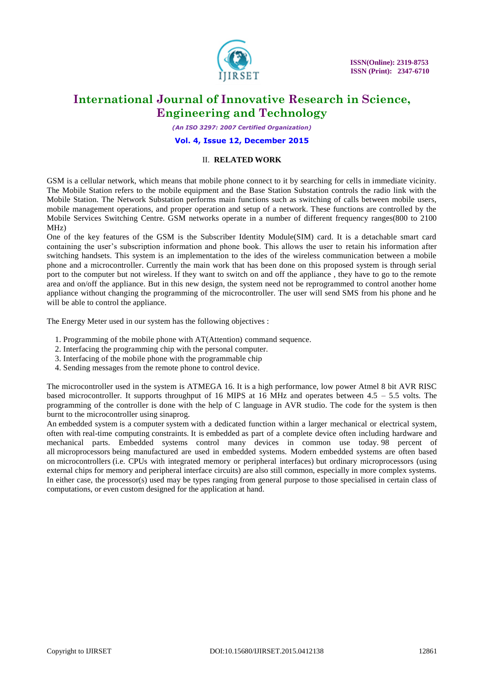

*(An ISO 3297: 2007 Certified Organization)*

**Vol. 4, Issue 12, December 2015**

### II. **RELATED WORK**

GSM is a cellular network, which means that mobile phone connect to it by searching for cells in immediate vicinity. The Mobile Station refers to the mobile equipment and the Base Station Substation controls the radio link with the Mobile Station. The Network Substation performs main functions such as switching of calls between mobile users, mobile management operations, and proper operation and setup of a network. These functions are controlled by the Mobile Services Switching Centre. GSM networks operate in a number of different frequency ranges(800 to 2100 MHz)

One of the key features of the GSM is the Subscriber Identity Module(SIM) card. It is a detachable smart card containing the user"s subscription information and phone book. This allows the user to retain his information after switching handsets. This system is an implementation to the ides of the wireless communication between a mobile phone and a microcontroller. Currently the main work that has been done on this proposed system is through serial port to the computer but not wireless. If they want to switch on and off the appliance , they have to go to the remote area and on/off the appliance. But in this new design, the system need not be reprogrammed to control another home appliance without changing the programming of the microcontroller. The user will send SMS from his phone and he will be able to control the appliance.

The Energy Meter used in our system has the following objectives :

- 1. Programming of the mobile phone with AT(Attention) command sequence.
- 2. Interfacing the programming chip with the personal computer.
- 3. Interfacing of the mobile phone with the programmable chip
- 4. Sending messages from the remote phone to control device.

The microcontroller used in the system is ATMEGA 16. It is a high performance, low power Atmel 8 bit AVR RISC based microcontroller. It supports throughput of 16 MIPS at 16 MHz and operates between 4.5 – 5.5 volts. The programming of the controller is done with the help of C language in AVR studio. The code for the system is then burnt to the microcontroller using sinaprog.

An embedded system is a [computer](https://en.wikipedia.org/wiki/Computer) [system](https://en.wikipedia.org/wiki/System) with a dedicated function within a larger mechanical or electrical system, often with [real-time computing](https://en.wikipedia.org/wiki/Real-time_computing) constraints. It is embedded as part of a complete device often including hardware and mechanical parts. Embedded systems control many devices in common use today. 98 percent of all [microprocessors](https://en.wikipedia.org/wiki/Microprocessors) being manufactured are used in embedded systems. Modern embedded systems are often based on [microcontrollers](https://en.wikipedia.org/wiki/Microcontroller) (i.e. CPUs with integrated memory or peripheral interfaces) but ordinary microprocessors (using external chips for memory and peripheral interface circuits) are also still common, especially in more complex systems. In either case, the processor(s) used may be types ranging from general purpose to those specialised in certain class of computations, or even custom designed for the application at hand.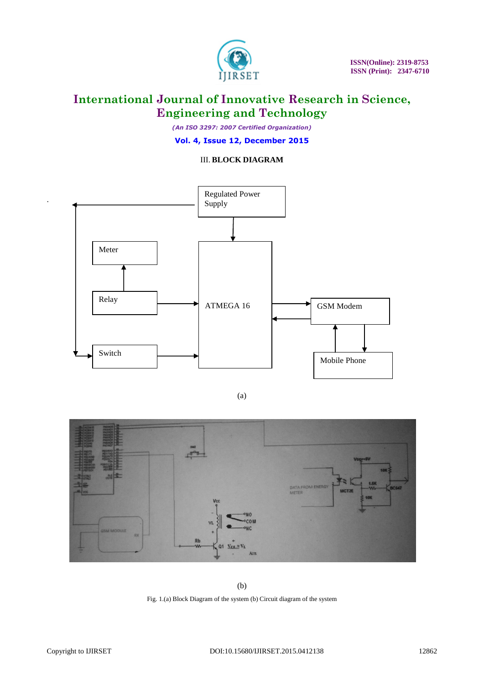

*(An ISO 3297: 2007 Certified Organization)*

**Vol. 4, Issue 12, December 2015**

### III. **BLOCK DIAGRAM**



(a)



(b)

Fig. 1.(a) Block Diagram of the system (b) Circuit diagram of the system

.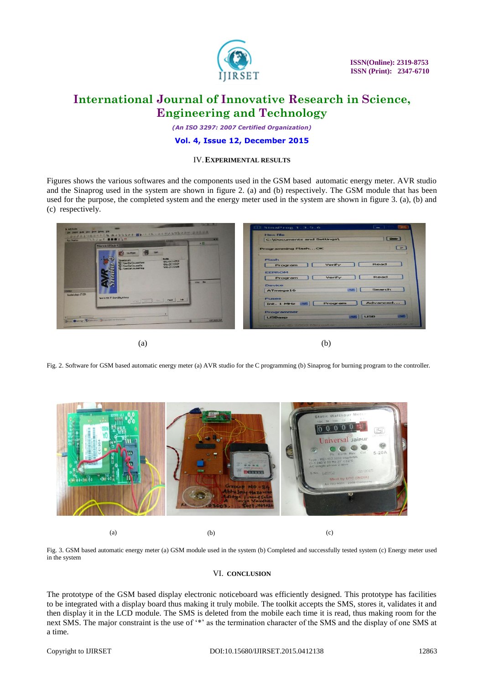

 **ISSN(Online): 2319-8753 ISSN (Print): 2347-6710** 

### **International Journal of Innovative Research in Science, Engineering and Technology**

*(An ISO 3297: 2007 Certified Organization)*

#### **Vol. 4, Issue 12, December 2015**

#### IV.**EXPERIMENTAL RESULTS**

Figures shows the various softwares and the components used in the GSM based automatic energy meter. AVR studio and the Sinaprog used in the system are shown in figure 2. (a) and (b) respectively. The GSM module that has been used for the purpose, the completed system and the energy meter used in the system are shown in figure 3. (a), (b) and (c) respectively.

| ○国家が日本に通信のクで物:尚不能注意にま:国家→トロル、コンコレン村型の日中·安田県国内<br>- 31<br><b>EXTERNATION</b><br>$\cdot$ <sub>II</sub><br>Welcome to AVR Studio 4                                                              | <b>Hex file</b><br>$\sqrt{2}$<br>C:\Documents and Settings\ |
|----------------------------------------------------------------------------------------------------------------------------------------------------------------------------------------------|-------------------------------------------------------------|
|                                                                                                                                                                                              | $\geq$<br>Programming FlashOK                               |
| <b>Modifec</b><br><b>Poeta and Step</b><br>"BitLy23 2143728<br>WWW.ARRAIGHTENTICS<br>"01lev23", 12532"<br>Stram.od/loc.ment/o-<br>"BROYLE'S IZMAN<br>C .: User/Sim\Joc.menk/4cop<br>Who Real | Flash<br>Read<br>Verify<br>Program                          |
|                                                                                                                                                                                              | <b>EEPROM</b><br>Read<br>Verify<br>Program                  |
|                                                                                                                                                                                              | Device<br>Search<br>$\sim$                                  |
| 14033-04<br>Lucied plugin 57 (SC)<br>Vertiting V Sweddy dilaw<br>LITHE Real Free Park Life                                                                                                   | ATmega16<br><b>Fuses</b>                                    |
|                                                                                                                                                                                              | Advanced<br>Program<br>Int. 1 MHz                           |
| <b>EBully OMevage Simon Rev Companies for Farmers</b>                                                                                                                                        | Programmer<br><b>USB</b><br><b>USBasp</b>                   |

 $(a)$  (b)

Fig. 2. Software for GSM based automatic energy meter (a) AVR studio for the C programming (b) Sinaprog for burning program to the controller.



(a)  $(b)$  (c)

Fig. 3. GSM based automatic energy meter (a) GSM module used in the system (b) Completed and successfully tested system (c) Energy meter used in the system

#### VI. **CONCLUSION**

The prototype of the GSM based display electronic noticeboard was efficiently designed. This prototype has facilities to be integrated with a display board thus making it truly mobile. The toolkit accepts the SMS, stores it, validates it and then display it in the LCD module. The SMS is deleted from the mobile each time it is read, thus making room for the next SMS. The major constraint is the use of '\*' as the termination character of the SMS and the display of one SMS at a time.